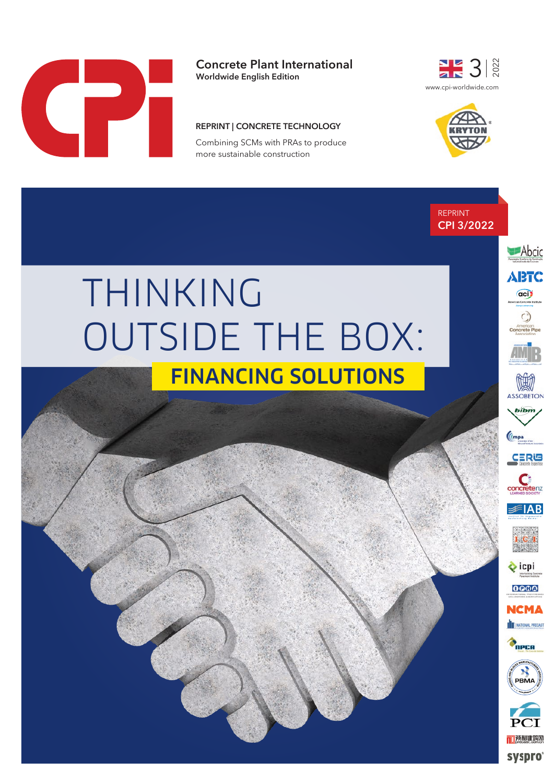

**Concrete Plant International**

**Worldwide English Edition**

### **REPRINT | CONCRETE TECHNOLOGY**

Combining SCMs with PRAs to produce more sustainable construction





REPRINT **CPI 3/2022**

# THINKING OUTSIDE THE BOX:

# FINANCING SOLUTIONS



Abcic

**ABTC**  $\odot$ 



icpi 0000

**NCMA** 



PBMA □预制建筑网

**SYSPFO**®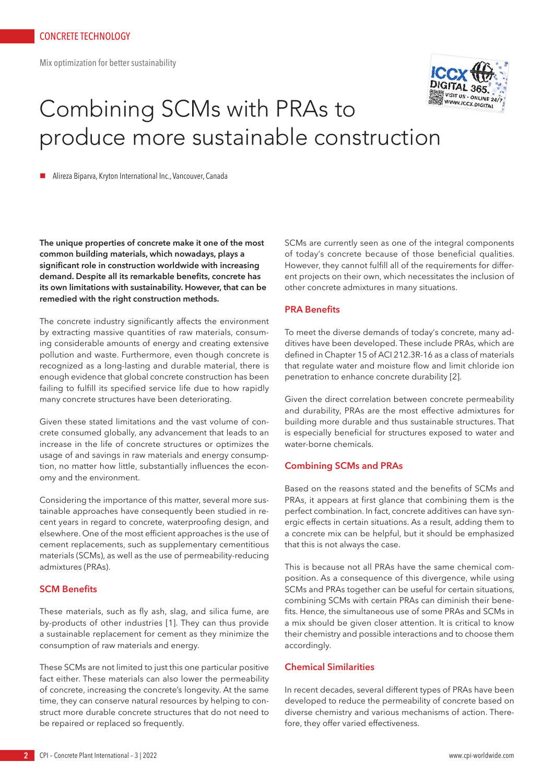Mix optimization for better sustainability



# Combining SCMs with PRAs to produce more sustainable construction

n Alireza Biparva, Kryton International Inc., Vancouver, Canada

**The unique properties of concrete make it one of the most common building materials, which nowadays, plays a significant role in construction worldwide with increasing demand. Despite all its remarkable benefits, concrete has its own limitations with sustainability. However, that can be remedied with the right construction methods.** 

The concrete industry significantly affects the environment by extracting massive quantities of raw materials, consuming considerable amounts of energy and creating extensive pollution and waste. Furthermore, even though concrete is recognized as a long-lasting and durable material, there is enough evidence that global concrete construction has been failing to fulfill its specified service life due to how rapidly many concrete structures have been deteriorating.

Given these stated limitations and the vast volume of concrete consumed globally, any advancement that leads to an increase in the life of concrete structures or optimizes the usage of and savings in raw materials and energy consumption, no matter how little, substantially influences the economy and the environment.

Considering the importance of this matter, several more sustainable approaches have consequently been studied in recent years in regard to concrete, waterproofing design, and elsewhere. One of the most efficient approaches is the use of cement replacements, such as supplementary cementitious materials (SCMs), as well as the use of permeability-reducing admixtures (PRAs).

# **SCM Benefits**

These materials, such as fly ash, slag, and silica fume, are by-products of other industries [1]. They can thus provide a sustainable replacement for cement as they minimize the consumption of raw materials and energy.

These SCMs are not limited to just this one particular positive fact either. These materials can also lower the permeability of concrete, increasing the concrete's longevity. At the same time, they can conserve natural resources by helping to construct more durable concrete structures that do not need to be repaired or replaced so frequently.

SCMs are currently seen as one of the integral components of today's concrete because of those beneficial qualities. However, they cannot fulfill all of the requirements for different projects on their own, which necessitates the inclusion of other concrete admixtures in many situations.

#### **PRA Benefits**

To meet the diverse demands of today's concrete, many additives have been developed. These include PRAs, which are defined in Chapter 15 of ACI 212.3R-16 as a class of materials that regulate water and moisture flow and limit chloride ion penetration to enhance concrete durability [2].

Given the direct correlation between concrete permeability and durability, PRAs are the most effective admixtures for building more durable and thus sustainable structures. That is especially beneficial for structures exposed to water and water-borne chemicals.

# **Combining SCMs and PRAs**

Based on the reasons stated and the benefits of SCMs and PRAs, it appears at first glance that combining them is the perfect combination. In fact, concrete additives can have synergic effects in certain situations. As a result, adding them to a concrete mix can be helpful, but it should be emphasized that this is not always the case.

This is because not all PRAs have the same chemical composition. As a consequence of this divergence, while using SCMs and PRAs together can be useful for certain situations, combining SCMs with certain PRAs can diminish their benefits. Hence, the simultaneous use of some PRAs and SCMs in a mix should be given closer attention. It is critical to know their chemistry and possible interactions and to choose them accordingly.

# **Chemical Similarities**

In recent decades, several different types of PRAs have been developed to reduce the permeability of concrete based on diverse chemistry and various mechanisms of action. Therefore, they offer varied effectiveness.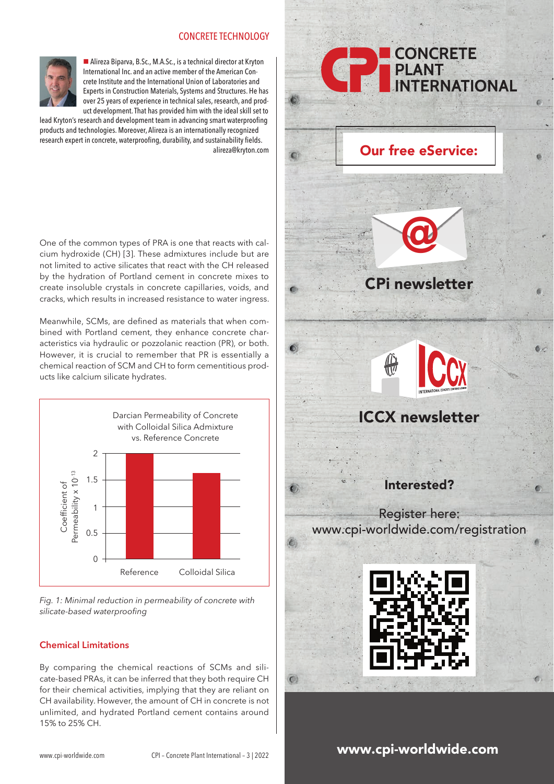# CONCRETE TECHNOLOGY



■ Alireza Biparva, B.Sc., M.A.Sc., is a technical director at Kryton International Inc. and an active member of the American Concrete Institute and the International Union of Laboratories and Experts in Construction Materials, Systems and Structures. He has over 25 years of experience in technical sales, research, and product development. That has provided him with the ideal skill set to

lead Kryton's research and development team in advancing smart waterproofing products and technologies. Moreover, Alireza is an internationally recognized research expert in concrete, waterproofing, durability, and sustainability fields. alireza@kryton.com

One of the common types of PRA is one that reacts with calcium hydroxide (CH) [3]. These admixtures include but are not limited to active silicates that react with the CH released by the hydration of Portland cement in concrete mixes to create insoluble crystals in concrete capillaries, voids, and cracks, which results in increased resistance to water ingress.

Meanwhile, SCMs, are defined as materials that when combined with Portland cement, they enhance concrete characteristics via hydraulic or pozzolanic reaction (PR), or both. However, it is crucial to remember that PR is essentially a chemical reaction of SCM and CH to form cementitious products like calcium silicate hydrates.



*Fig. 1: Minimal reduction in permeability of concrete with silicate-based waterproofing*

# **Chemical Limitations**

By comparing the chemical reactions of SCMs and silicate-based PRAs, it can be inferred that they both require CH for their chemical activities, implying that they are reliant on CH availability. However, the amount of CH in concrete is not unlimited, and hydrated Portland cement contains around 15% to 25% CH.



# www.cpi-worldwide.com